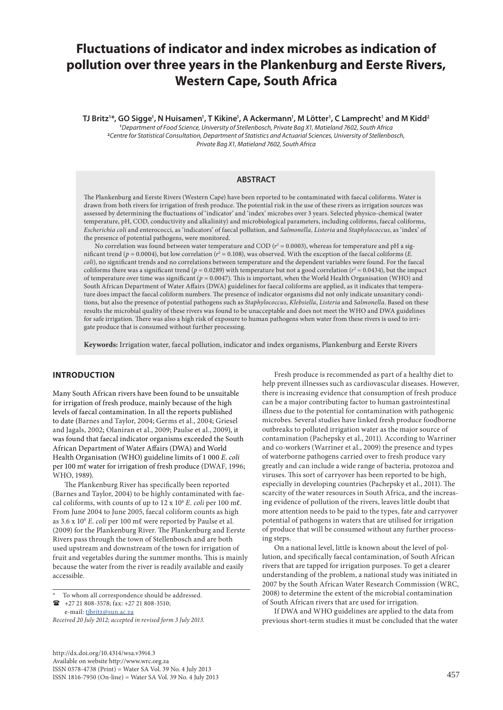# **Fluctuations of indicator and index microbes as indication of pollution over three years in the Plankenburg and Eerste Rivers, Western Cape, South Africa**

**TJ Britz'\*, GO Sigge', N Huisamen', T Kikine', A Ackermann', M Lötter', C Lamprecht' and M Kidd<sup>2</sup> 1** *Department of Food Science, University of Stellenbosch, Private Bag X1, Matieland 7602, South Africa* **<sup>2</sup>***Centre for Statistical Consultation, Department of Statistics and Actuarial Sciences, University of Stellenbosch, Private Bag X1, Matieland 7602, South Africa*

# **ABSTRACT**

The Plankenburg and Eerste Rivers (Western Cape) have been reported to be contaminated with faecal coliforms. Water is drawn from both rivers for irrigation of fresh produce. The potential risk in the use of these rivers as irrigation sources was assessed by determining the fluctuations of 'indicator' and 'index' microbes over 3 years. Selected physico-chemical (water temperature, pH, COD, conductivity and alkalinity) and microbiological parameters, including coliforms, faecal coliforms, *Escherichia coli* and enterococci, as 'indicators' of faecal pollution, and *Salmonella*, *Listeria* and *Staphylococcus*, as 'index' of the presence of potential pathogens, were monitored.

No correlation was found between water temperature and COD  $(r^2 = 0.0003)$ , whereas for temperature and pH a significant trend ( $p = 0.0004$ ), but low correlation ( $r^2 = 0.108$ ), was observed. With the exception of the faecal coliforms (*E*. *coli*), no significant trends and no correlations between temperature and the dependent variables were found. For the faecal coliforms there was a significant trend ( $p = 0.0289$ ) with temperature but not a good correlation ( $r^2 = 0.0434$ ), but the impact of temperature over time was significant (*p* = 0.0047). This is important, when the World Health Organisation (WHO) and South African Department of Water Affairs (DWA) guidelines for faecal coliforms are applied, as it indicates that temperature does impact the faecal coliform numbers. The presence of indicator organisms did not only indicate unsanitary conditions, but also the presence of potential pathogens such as *Staphylococcus*, *Klebsiella*, *Listeria* and *Salmonella*. Based on these results the microbial quality of these rivers was found to be unacceptable and does not meet the WHO and DWA guidelines for safe irrigation. There was also a high risk of exposure to human pathogens when water from these rivers is used to irrigate produce that is consumed without further processing.

**Keywords:** Irrigation water, faecal pollution, indicator and index organisms, Plankenburg and Eerste Rivers

# **INTRODUCTION**

Many South African rivers have been found to be unsuitable for irrigation of fresh produce, mainly because of the high levels of faecal contamination. In all the reports published to date (Barnes and Taylor, 2004; Germs et al., 2004; Griesel and Jagals, 2002; Olaniran et al., 2009; Paulse et al., 2009), it was found that faecal indicator organisms exceeded the South African Department of Water Affairs (DWA) and World Health Organisation (WHO) guideline limits of 1 000 *E*. *coli*  per 100 mℓ water for irrigation of fresh produce (DWAF, 1996; WHO, 1989).

The Plankenburg River has specifically been reported (Barnes and Taylor, 2004) to be highly contaminated with faecal coliforms, with counts of up to 12 x 106 *E*. *coli* per 100 mℓ. From June 2004 to June 2005, faecal coliform counts as high as 3.6 x 106 *E*. *coli* per 100 mℓ were reported by Paulse et al. (2009) for the Plankenburg River. The Plankenburg and Eerste Rivers pass through the town of Stellenbosch and are both used upstream and downstream of the town for irrigation of fruit and vegetables during the summer months. This is mainly because the water from the river is readily available and easily accessible.

e-mail: [tjbritz@sun.ac.za](mailto:tjbritz@sun.ac.za)

*Received 20 July 2012; accepted in revised form 3 July 2013.*

Fresh produce is recommended as part of a healthy diet to help prevent illnesses such as cardiovascular diseases. However, there is increasing evidence that consumption of fresh produce can be a major contributing factor to human gastrointestinal illness due to the potential for contamination with pathogenic microbes. Several studies have linked fresh produce foodborne outbreaks to polluted irrigation water as the major source of contamination (Pachepsky et al., 2011). According to Warriner and co-workers (Warriner et al., 2009) the presence and types of waterborne pathogens carried over to fresh produce vary greatly and can include a wide range of bacteria, protozoa and viruses. This sort of carryover has been reported to be high, especially in developing countries (Pachepsky et al., 2011). The scarcity of the water resources in South Africa, and the increasing evidence of pollution of the rivers, leaves little doubt that more attention needs to be paid to the types, fate and carryover potential of pathogens in waters that are utilised for irrigation of produce that will be consumed without any further processing steps.

On a national level, little is known about the level of pollution, and specifically faecal contamination, of South African rivers that are tapped for irrigation purposes. To get a clearer understanding of the problem, a national study was initiated in 2007 by the South African Water Research Commission (WRC, 2008) to determine the extent of the microbial contamination of South African rivers that are used for irrigation.

If DWA and WHO guidelines are applied to the data from previous short-term studies it must be concluded that the water

To whom all correspondence should be addressed.  $\bullet$  +27 21 808-3578; fax: +27 21 808-3510;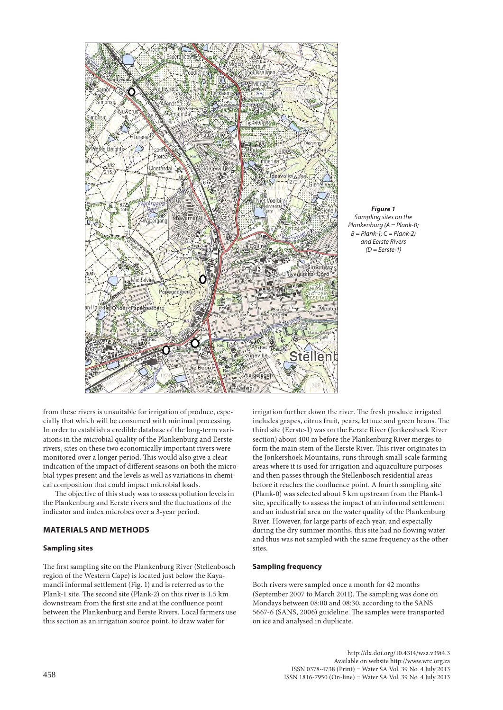



from these rivers is unsuitable for irrigation of produce, especially that which will be consumed with minimal processing. In order to establish a credible database of the long-term variations in the microbial quality of the Plankenburg and Eerste rivers, sites on these two economically important rivers were monitored over a longer period. This would also give a clear indication of the impact of different seasons on both the microbial types present and the levels as well as variations in chemical composition that could impact microbial loads.

The objective of this study was to assess pollution levels in the Plankenburg and Eerste rivers and the fluctuations of the indicator and index microbes over a 3-year period.

# **MATERIALS AND METHODS**

# **Sampling sites**

The first sampling site on the Plankenburg River (Stellenbosch region of the Western Cape) is located just below the Kayamandi informal settlement (Fig. 1) and is referred as to the Plank-1 site. The second site (Plank-2) on this river is 1.5 km downstream from the first site and at the confluence point between the Plankenburg and Eerste Rivers. Local farmers use this section as an irrigation source point, to draw water for

irrigation further down the river. The fresh produce irrigated includes grapes, citrus fruit, pears, lettuce and green beans. The third site (Eerste-1) was on the Eerste River (Jonkershoek River section) about 400 m before the Plankenburg River merges to form the main stem of the Eerste River. This river originates in the Jonkershoek Mountains, runs through small-scale farming areas where it is used for irrigation and aquaculture purposes and then passes through the Stellenbosch residential areas before it reaches the confluence point. A fourth sampling site (Plank-0) was selected about 5 km upstream from the Plank-1 site, specifically to assess the impact of an informal settlement and an industrial area on the water quality of the Plankenburg River. However, for large parts of each year, and especially during the dry summer months, this site had no flowing water and thus was not sampled with the same frequency as the other sites.

# **Sampling frequency**

Both rivers were sampled once a month for 42 months (September 2007 to March 2011). The sampling was done on Mondays between 08:00 and 08:30, according to the SANS 5667-6 (SANS, 2006) guideline. The samples were transported on ice and analysed in duplicate.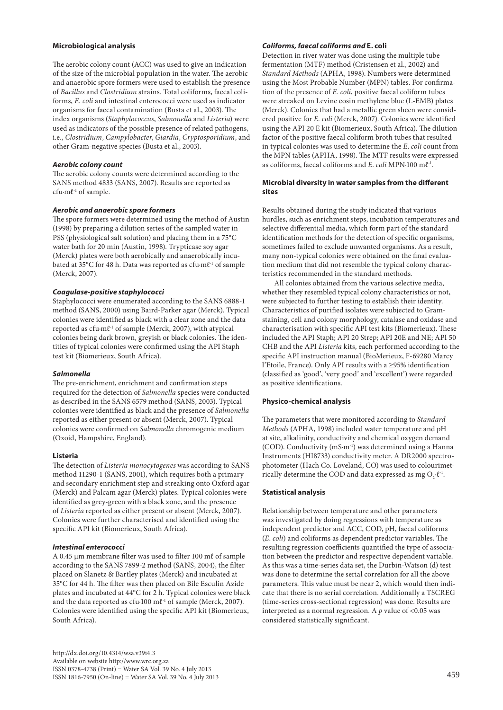# **Microbiological analysis**

The aerobic colony count (ACC) was used to give an indication of the size of the microbial population in the water. The aerobic and anaerobic spore formers were used to establish the presence of *Bacillus* and *Clostridium* strains. Total coliforms, faecal coliforms, *E. coli* and intestinal enterococci were used as indicator organisms for faecal contamination (Busta et al., 2003). The index organisms (*Staphylococcus*, *Salmonella* and *Listeria*) were used as indicators of the possible presence of related pathogens, i.e., *Clostridium*, *Campylobacter*, *Giardia*, *Cryptosporidium*, and other Gram-negative species (Busta et al., 2003).

## *Aerobic colony count*

The aerobic colony counts were determined according to the SANS method 4833 (SANS, 2007). Results are reported as cfu∙mℓ-1 of sample.

## *Aerobic and anaerobic spore formers*

The spore formers were determined using the method of Austin (1998) by preparing a dilution series of the sampled water in PSS (physiological salt solution) and placing them in a 75°C water bath for 20 min (Austin, 1998). Trypticase soy agar (Merck) plates were both aerobically and anaerobically incubated at 35°C for 48 h. Data was reported as cfu∙mℓ-1 of sample (Merck, 2007).

## *Coagulase-positive staphylococci*

Staphylococci were enumerated according to the SANS 6888-1 method (SANS, 2000) using Baird-Parker agar (Merck). Typical colonies were identified as black with a clear zone and the data reported as cfu∙mℓ-1 of sample (Merck, 2007), with atypical colonies being dark brown, greyish or black colonies. The identities of typical colonies were confirmed using the API Staph test kit (Biomerieux, South Africa).

#### *Salmonella*

The pre-enrichment, enrichment and confirmation steps required for the detection of *Salmonella* species were conducted as described in the SANS 6579 method (SANS, 2003). Typical colonies were identified as black and the presence of *Salmonella* reported as either present or absent (Merck, 2007). Typical colonies were confirmed on *Salmonella* chromogenic medium (Oxoid, Hampshire, England).

# **Listeria**

The detection of *Listeria monocytogenes* was according to SANS method 11290-1 (SANS, 2001), which requires both a primary and secondary enrichment step and streaking onto Oxford agar (Merck) and Palcam agar (Merck) plates. Typical colonies were identified as grey-green with a black zone, and the presence of *Listeria* reported as either present or absent (Merck, 2007). Colonies were further characterised and identified using the specific API kit (Biomerieux, South Africa).

#### *Intestinal enterococci*

A 0.45 µm membrane filter was used to filter 100 mℓ of sample according to the SANS 7899-2 method (SANS, 2004), the filter placed on Slanetz & Bartley plates (Merck) and incubated at 35°C for 44 h. The filter was then placed on Bile Esculin Azide plates and incubated at 44°C for 2 h. Typical colonies were black and the data reported as cfu∙100 mℓ-1 of sample (Merck, 2007). Colonies were identified using the specific API kit (Biomerieux, South Africa).

# *Coliforms, faecal coliforms and* **E. coli**

Detection in river water was done using the multiple tube fermentation (MTF) method (Cristensen et al., 2002) and *Standard Methods* (APHA, 1998). Numbers were determined using the Most Probable Number (MPN) tables. For confirmation of the presence of *E*. *coli*, positive faecal coliform tubes were streaked on Levine eosin methylene blue (L-EMB) plates (Merck). Colonies that had a metallic green sheen were considered positive for *E*. *coli* (Merck, 2007). Colonies were identified using the API 20 E kit (Biomerieux, South Africa). The dilution factor of the positive faecal coliform broth tubes that resulted in typical colonies was used to determine the *E*. *coli* count from the MPN tables (APHA, 1998). The MTF results were expressed as coliforms, faecal coliforms and *E*. *coli* MPN∙100 mℓ-1.

# **Microbial diversity in water samples from the different sites**

Results obtained during the study indicated that various hurdles, such as enrichment steps, incubation temperatures and selective differential media, which form part of the standard identification methods for the detection of specific organisms, sometimes failed to exclude unwanted organisms. As a result, many non-typical colonies were obtained on the final evaluation medium that did not resemble the typical colony characteristics recommended in the standard methods.

All colonies obtained from the various selective media, whether they resembled typical colony characteristics or not, were subjected to further testing to establish their identity. Characteristics of purified isolates were subjected to Gramstaining, cell and colony morphology, catalase and oxidase and characterisation with specific API test kits (Biomerieux). These included the API Staph; API 20 Strep; API 20E and NE; API 50 CHB and the API *Listeria* kits, each performed according to the specific API instruction manual (BioMerieux, F-69280 Marcy l'Etoile, France). Only API results with a ≥95% identification (classified as 'good', 'very good' and 'excellent') were regarded as positive identifications.

# **Physico-chemical analysis**

The parameters that were monitored according to *Standard Methods* (APHA, 1998) included water temperature and pH at site, alkalinity, conductivity and chemical oxygen demand (COD). Conductivity (mS∙m-1) was determined using a Hanna Instruments (HI8733) conductivity meter. A DR2000 spectrophotometer (Hach Co. Loveland, CO) was used to colourimetrically determine the COD and data expressed as mg  $O_2 \cdot \ell^{-1}$ .

# **Statistical analysis**

Relationship between temperature and other parameters was investigated by doing regressions with temperature as independent predictor and ACC, COD, pH, faecal coliforms (*E*. *coli*) and coliforms as dependent predictor variables. The resulting regression coefficients quantified the type of association between the predictor and respective dependent variable. As this was a time-series data set, the Durbin-Watson (d) test was done to determine the serial correlation for all the above parameters. This value must be near 2, which would then indicate that there is no serial correlation. Additionally a TSCREG (time-series cross-sectional regression) was done. Results are interpreted as a normal regression. A *p* value of <0.05 was considered statistically significant.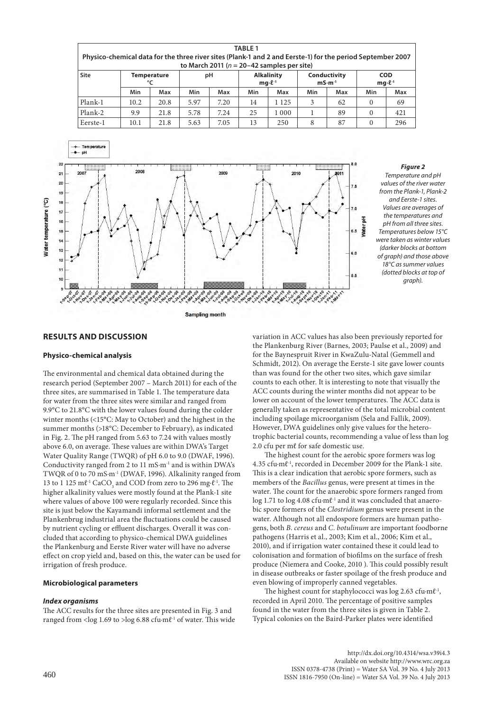| <b>Site</b> | <b>Temperature</b><br>°C |      | рH   |      | <b>Alkalinity</b><br>$mq·l^{-1}$ |         | Conductivity<br>$mS·m-1$ |     | <b>COD</b><br>$mq·l^{-1}$ |     |
|-------------|--------------------------|------|------|------|----------------------------------|---------|--------------------------|-----|---------------------------|-----|
|             | Min                      | Max  | Min  | Max  | Min                              | Max     | Min                      | Max | Min                       |     |
| Plank-1     | 10.2                     | 20.8 | 5.97 | 7.20 | 14                               | 1 1 2 5 | 3                        | 62  | $\Omega$                  |     |
| Plank-2     | 9.9                      | 21.8 | 5.78 | 7.24 | 25                               | 1 0 0 0 |                          | 89  | $\Omega$                  | 421 |
| Eerste-1    | 10.1                     | 21.8 | 5.63 | 7.05 | 13                               | 250     | 8                        | 87  | $\mathbf{0}$              |     |

**Sampling month** 



## **RESULTS AND DISCUSSION**

#### **Physico-chemical analysis**

 $\overline{2}$  $\overline{20}$ 

 $17$ 

16

 $13$  $12$  $\mathbf{1}$ 

Nater temperature (°C)

The environmental and chemical data obtained during the research period (September 2007 – March 2011) for each of the three sites, are summarised in Table 1. The temperature data for water from the three sites were similar and ranged from 9.9°C to 21.8°C with the lower values found during the colder winter months (<15°C: May to October) and the highest in the summer months (>18°C: December to February), as indicated in Fig. 2. The pH ranged from 5.63 to 7.24 with values mostly above 6.0, on average. These values are within DWA's Target Water Quality Range (TWQR) of pH 6.0 to 9.0 (DWAF, 1996). Conductivity ranged from 2 to 11 mS∙m-1 and is within DWA's TWQR of 0 to 70 mS∙m-1 (DWAF, 1996). Alkalinity ranged from 13 to 1 125 m $\ell$ <sup>-1</sup> CaCO<sub>3</sub> and COD from zero to 296 mg⋅ $\ell$ <sup>-1</sup>. The higher alkalinity values were mostly found at the Plank-1 site where values of above 100 were regularly recorded. Since this site is just below the Kayamandi informal settlement and the Plankenbrug industrial area the fluctuations could be caused by nutrient cycling or effluent discharges. Overall it was concluded that according to physico-chemical DWA guidelines the Plankenburg and Eerste River water will have no adverse effect on crop yield and, based on this, the water can be used for irrigation of fresh produce.

# **Microbiological parameters**

#### *Index organisms*

The ACC results for the three sites are presented in Fig. 3 and ranged from <log 1.69 to >log 6.88 cfu⋅mℓ<sup>-1</sup> of water. This wide variation in ACC values has also been previously reported for the Plankenburg River (Barnes, 2003; Paulse et al., 2009) and for the Baynespruit River in KwaZulu-Natal (Gemmell and Schmidt, 2012). On average the Eerste-1 site gave lower counts than was found for the other two sites, which gave similar counts to each other. It is interesting to note that visually the ACC counts during the winter months did not appear to be lower on account of the lower temperatures. The ACC data is generally taken as representative of the total microbial content including spoilage microorganism (Sela and Fallik, 2009). However, DWA guidelines only give values for the heterotrophic bacterial counts, recommending a value of less than log 2.0 cfu per mℓ for safe domestic use.

Į

The highest count for the aerobic spore formers was log 4.35 cfu∙mℓ-1, recorded in December 2009 for the Plank-1 site. This is a clear indication that aerobic spore formers, such as members of the *Bacillus* genus, were present at times in the water. The count for the anaerobic spore formers ranged from log 1.71 to log 4.08 cfu⋅mℓ<sup>-1</sup> and it was concluded that anaerobic spore formers of the *Clostridium* genus were present in the water. Although not all endospore formers are human pathogens, both *B*. *cereus* and *C*. *botulinum* are important foodborne pathogens (Harris et al., 2003; Kim et al., 2006; Kim et al., 2010), and if irrigation water contained these it could lead to colonisation and formation of biofilms on the surface of fresh produce (Niemera and Cooke, 2010 ). This could possibly result in disease outbreaks or faster spoilage of the fresh produce and even blowing of improperly canned vegetables.

The highest count for staphylococci was log 2.63 cfu∙mℓ-1, recorded in April 2010. The percentage of positive samples found in the water from the three sites is given in Table 2. Typical colonies on the Baird-Parker plates were identified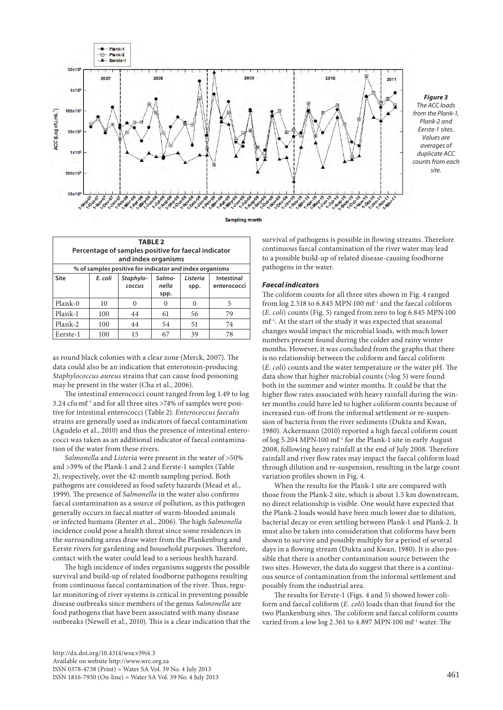



| <b>TABLE 2</b><br>Percentage of samples positive for faecal indicator<br>and index organisms |         |                     |                         |                  |                           |  |  |  |
|----------------------------------------------------------------------------------------------|---------|---------------------|-------------------------|------------------|---------------------------|--|--|--|
| % of samples positive for indicator and index organisms                                      |         |                     |                         |                  |                           |  |  |  |
| Site                                                                                         | E. coli | Staphylo-<br>coccus | Salmo-<br>nella<br>spp. | Listeria<br>spp. | Intestinal<br>enterococci |  |  |  |
| Plank-0                                                                                      | 10      |                     |                         | 0                | 5                         |  |  |  |
| Plank-1                                                                                      | 100     | 44                  | 61                      | 56               | 79                        |  |  |  |
| Plank-2                                                                                      | 100     | 44                  | 54                      | 51               | 74                        |  |  |  |
| Eerste-1                                                                                     | 100     | 15                  | 67                      | 39               | 78                        |  |  |  |

as round black colonies with a clear zone (Merck, 2007). The data could also be an indication that enterotoxin-producing *Staphylococcus aureus* strains that can cause food poisoning may be present in the water (Cha et al., 2006).

The intestinal enterococci count ranged from log 1.49 to log 3.24 cfu∙mℓ-1 and for all three sites >74% of samples were positive for intestinal enterococci (Table 2). *Enterococcus faecalis* strains are generally used as indicators of faecal contamination (Agudelo et al., 2010) and thus the presence of intestinal enterococci was taken as an additional indicator of faecal contamination of the water from these rivers.

*Salmonella* and *Listeria* were present in the water of >50% and >39% of the Plank-1 and 2 and Eerste-1 samples (Table 2), respectively, over the 42-month sampling period. Both pathogens are considered as food safety hazards (Mead et al., 1999). The presence of *Salmonella* in the water also confirms faecal contamination as a source of pollution, as this pathogen generally occurs in faecal matter of warm-blooded animals or infected humans (Renter et al., 2006). The high *Salmonella* incidence could pose a health threat since some residences in the surrounding areas draw water from the Plankenburg and Eerste rivers for gardening and household purposes. Therefore, contact with the water could lead to a serious health hazard.

The high incidence of index organisms suggests the possible survival and build-up of related foodborne pathogens resulting from continuous faecal contamination of the river. Thus, regular monitoring of river systems is critical in preventing possible disease outbreaks since members of the genus *Salmonella* are food pathogens that have been associated with many disease outbreaks (Newell et al., 2010). This is a clear indication that the survival of pathogens is possible in flowing streams. Therefore continuous faecal contamination of the river water may lead to a possible build-up of related disease-causing foodborne pathogens in the water.

## *Faecal indicators*

The coliform counts for all three sites shown in Fig. 4 ranged from log 2.518 to 6.845 MPN∙100 mℓ-1 and the faecal coliform (*E. coli*) counts (Fig. 5) ranged from zero to log 6.845 MPN∙100 mℓ-1. At the start of the study it was expected that seasonal changes would impact the microbial loads, with much lower numbers present found during the colder and rainy winter months. However, it was concluded from the graphs that there is no relationship between the coliform and faecal coliform (*E. coli*) counts and the water temperature or the water pH. The data show that higher microbial counts (>log 5) were found both in the summer and winter months. It could be that the higher flow rates associated with heavy rainfall during the winter months could have led to higher coliform counts because of increased run-off from the informal settlement or re-suspension of bacteria from the river sediments (Dukta and Kwan, 1980). Ackermann (2010) reported a high faecal coliform count of log 5.204 MPN∙100 mℓ-1 for the Plank-1 site in early August 2008, following heavy rainfall at the end of July 2008. Therefore rainfall and river flow rates may impact the faecal coliform load through dilution and re-suspension, resulting in the large count variation profiles shown in Fig. 4.

When the results for the Plank-1 site are compared with those from the Plank-2 site, which is about 1.5 km downstream, no direct relationship is visible. One would have expected that the Plank-2 loads would have been much lower due to dilution, bacterial decay or even settling between Plank-1 and Plank-2. It must also be taken into consideration that coliforms have been shown to survive and possibly multiply for a period of several days in a flowing stream (Dukta and Kwan, 1980). It is also possible that there is another contamination source between the two sites. However, the data do suggest that there is a continuous source of contamination from the informal settlement and possibly from the industrial area.

The results for Eerste-1 (Figs. 4 and 5) showed lower coliform and faecal coliform (*E. coli*) loads than that found for the two Plankenburg sites. The coliform and faecal coliform counts varied from a low log 2.361 to 4.897 MPN∙100 mℓ-1 water. The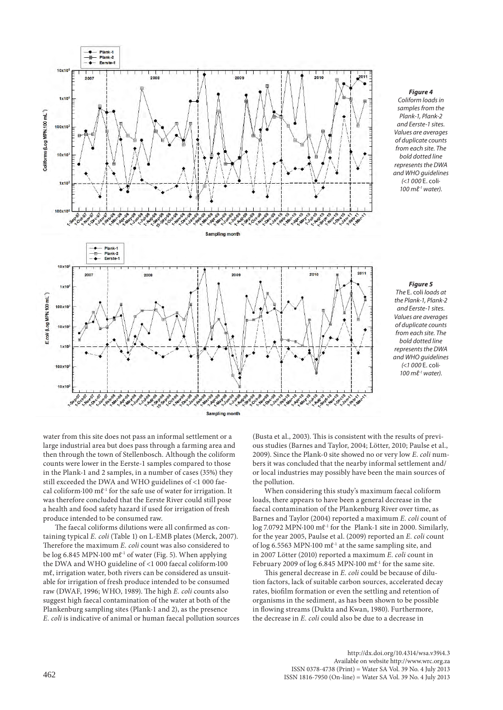

#### *Figure 4*

*Coliform loads in samples from the Plank-1, Plank-2 and Eerste-1 sites. Values are averages of duplicate counts from each site. The bold dotted line represents the DWA and WHO guidelines (<1 000* E. coli*∙ 100 mℓ-1 water).*

#### *Figure 5*

*The* E. coli *loads at the Plank-1, Plank-2 and Eerste-1 sites. Values are averages of duplicate counts from each site. The bold dotted line represents the DWA and WHO guidelines (<1 000* E. coli*∙ 100 mℓ-1 water).*

water from this site does not pass an informal settlement or a large industrial area but does pass through a farming area and then through the town of Stellenbosch. Although the coliform counts were lower in the Eerste-1 samples compared to those in the Plank-1 and 2 samples, in a number of cases (35%) they still exceeded the DWA and WHO guidelines of <1 000 faecal coliform∙100 mℓ-1 for the safe use of water for irrigation. It was therefore concluded that the Eerste River could still pose a health and food safety hazard if used for irrigation of fresh produce intended to be consumed raw.

The faecal coliforms dilutions were all confirmed as containing typical *E. coli* (Table 1) on L-EMB plates (Merck, 2007). Therefore the maximum *E. coli* count was also considered to be log 6.845 MPN∙100 mℓ-1 of water (Fig. 5). When applying the DWA and WHO guideline of <1 000 faecal coliform∙100 mℓ, irrigation water, both rivers can be considered as unsuitable for irrigation of fresh produce intended to be consumed raw (DWAF, 1996; WHO, 1989). The high *E. coli* counts also suggest high faecal contamination of the water at both of the Plankenburg sampling sites (Plank-1 and 2), as the presence *E. coli* is indicative of animal or human faecal pollution sources

(Busta et al., 2003). This is consistent with the results of previous studies (Barnes and Taylor, 2004; Lötter, 2010; Paulse et al., 2009). Since the Plank-0 site showed no or very low *E*. *coli* numbers it was concluded that the nearby informal settlement and/ or local industries may possibly have been the main sources of the pollution.

When considering this study's maximum faecal coliform loads, there appears to have been a general decrease in the faecal contamination of the Plankenburg River over time, as Barnes and Taylor (2004) reported a maximum *E. coli* count of log 7.0792 MPN∙100 mℓ-1 for the Plank-1 site in 2000. Similarly, for the year 2005, Paulse et al. (2009) reported an *E. coli* count of log 6.5563 MPN∙100 mℓ-1 at the same sampling site, and in 2007 Lötter (2010) reported a maximum *E. coli* count in February 2009 of log 6.845 MPN∙100 mℓ-1 for the same site.

This general decrease in *E. coli* could be because of dilution factors, lack of suitable carbon sources, accelerated decay rates, biofilm formation or even the settling and retention of organisms in the sediment, as has been shown to be possible in flowing streams (Dukta and Kwan, 1980). Furthermore, the decrease in *E. coli* could also be due to a decrease in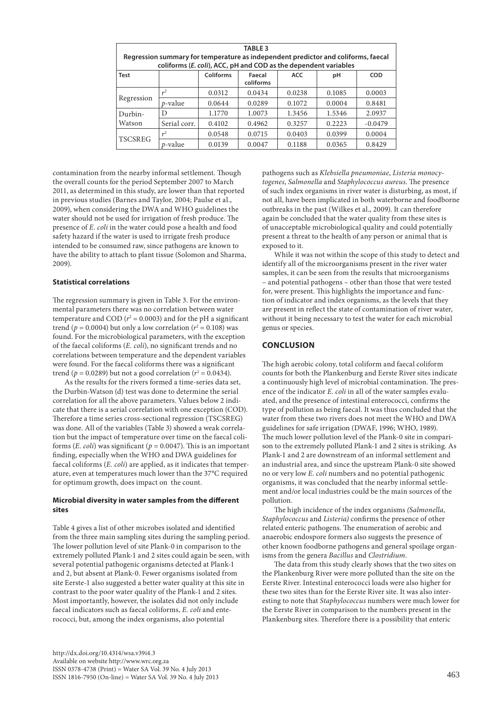| <b>TABLE 3</b><br>Regression summary for temperature as independent predictor and coliforms, faecal<br>coliforms (E. coli), ACC, pH and COD as the dependent variables |                     |           |                     |            |        |            |  |  |
|------------------------------------------------------------------------------------------------------------------------------------------------------------------------|---------------------|-----------|---------------------|------------|--------|------------|--|--|
| <b>Test</b>                                                                                                                                                            |                     | Coliforms | Faecal<br>coliforms | <b>ACC</b> | рH     | <b>COD</b> |  |  |
| Regression                                                                                                                                                             | $\sim$ <sup>2</sup> | 0.0312    | 0.0434              | 0.0238     | 0.1085 | 0.0003     |  |  |
|                                                                                                                                                                        | $p$ -value          | 0.0644    | 0.0289              | 0.1072     | 0.0004 | 0.8481     |  |  |
| Durbin-<br>Watson                                                                                                                                                      | D                   | 1.1770    | 1.0073              | 1.3456     | 1.5346 | 2.0937     |  |  |
|                                                                                                                                                                        | Serial corr.        | 0.4102    | 0.4962              | 0.3257     | 0.2223 | $-0.0479$  |  |  |
| <b>TSCSREG</b>                                                                                                                                                         | r <sup>2</sup>      | 0.0548    | 0.0715              | 0.0403     | 0.0399 | 0.0004     |  |  |
|                                                                                                                                                                        | <i>p</i> -value     | 0.0139    | 0.0047              | 0.1188     | 0.0365 | 0.8429     |  |  |

contamination from the nearby informal settlement. Though the overall counts for the period September 2007 to March 2011, as determined in this study, are lower than that reported in previous studies (Barnes and Taylor, 2004; Paulse et al., 2009), when considering the DWA and WHO guidelines the water should not be used for irrigation of fresh produce. The presence of *E. coli* in the water could pose a health and food safety hazard if the water is used to irrigate fresh produce intended to be consumed raw, since pathogens are known to have the ability to attach to plant tissue (Solomon and Sharma, 2009).

# **Statistical correlations**

The regression summary is given in Table 3. For the environmental parameters there was no correlation between water temperature and COD  $(r^2 = 0.0003)$  and for the pH a significant trend ( $p = 0.0004$ ) but only a low correlation ( $r^2 = 0.108$ ) was found. For the microbiological parameters, with the exception of the faecal coliforms (*E. coli*), no significant trends and no correlations between temperature and the dependent variables were found. For the faecal coliforms there was a significant trend ( $p = 0.0289$ ) but not a good correlation ( $r^2 = 0.0434$ ).

As the results for the rivers formed a time-series data set, the Durbin-Watson (d) test was done to determine the serial correlation for all the above parameters. Values below 2 indicate that there is a serial correlation with one exception (COD). Therefore a time series cross-sectional regression (TSCSREG) was done. All of the variables (Table 3) showed a weak correlation but the impact of temperature over time on the faecal coliforms (*E. coli*) was significant (*p* = 0.0047). This is an important finding, especially when the WHO and DWA guidelines for faecal coliforms (*E. coli*) are applied, as it indicates that temperature, even at temperatures much lower than the 37°C required for optimum growth, does impact on the count.

## **Microbial diversity in water samples from the different sites**

Table 4 gives a list of other microbes isolated and identified from the three main sampling sites during the sampling period. The lower pollution level of site Plank-0 in comparison to the extremely polluted Plank-1 and 2 sites could again be seen, with several potential pathogenic organisms detected at Plank-1 and 2, but absent at Plank-0. Fewer organisms isolated from site Eerste-1 also suggested a better water quality at this site in contrast to the poor water quality of the Plank-1 and 2 sites. Most importantly, however, the isolates did not only include faecal indicators such as faecal coliforms, *E. coli* and enterococci, but, among the index organisms, also potential

of such index organisms in river water is disturbing, as most, if not all, have been implicated in both waterborne and foodborne outbreaks in the past (Wilkes et al., 2009). It can therefore again be concluded that the water quality from these sites is of unacceptable microbiological quality and could potentially present a threat to the health of any person or animal that is exposed to it. While it was not within the scope of this study to detect and identify all of the microorganisms present in the river water

pathogens such as *Klebsiella pneumoniae*, *Listeria monocytogenes*, *Salmonella* and *Staphylococcus aureus*. The presence

samples, it can be seen from the results that microorganisms – and potential pathogens – other than those that were tested for, were present. This highlights the importance and function of indicator and index organisms, as the levels that they are present in reflect the state of contamination of river water, without it being necessary to test the water for each microbial genus or species.

# **CONCLUSION**

The high aerobic colony, total coliform and faecal coliform counts for both the Plankenburg and Eerste River sites indicate a continuously high level of microbial contamination. The presence of the indicator *E. coli* in all of the water samples evaluated, and the presence of intestinal enterococci, confirms the type of pollution as being faecal. It was thus concluded that the water from these two rivers does not meet the WHO and DWA guidelines for safe irrigation (DWAF, 1996; WHO, 1989). The much lower pollution level of the Plank-0 site in comparison to the extremely polluted Plank-1 and 2 sites is striking. As Plank-1 and 2 are downstream of an informal settlement and an industrial area, and since the upstream Plank-0 site showed no or very low *E. coli* numbers and no potential pathogenic organisms, it was concluded that the nearby informal settlement and/or local industries could be the main sources of the pollution.

The high incidence of the index organisms *(Salmonella, Staphylococcus* and *Listeria)* confirms the presence of other related enteric pathogens. The enumeration of aerobic and anaerobic endospore formers also suggests the presence of other known foodborne pathogens and general spoilage organisms from the genera *Bacillus* and *Clostridium*.

The data from this study clearly shows that the two sites on the Plankenburg River were more polluted than the site on the Eerste River. Intestinal enterococci loads were also higher for these two sites than for the Eerste River site. It was also interesting to note that *Staphylococcus* numbers were much lower for the Eerste River in comparison to the numbers present in the Plankenburg sites. Therefore there is a possibility that enteric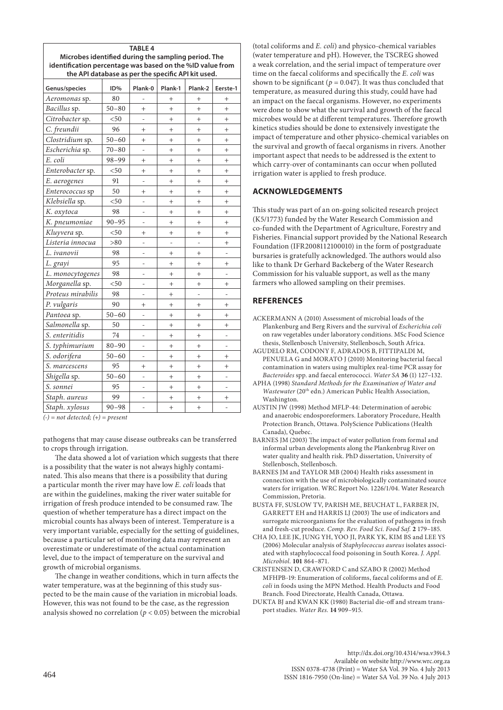| <b>TABLE 4</b>                                                                                                  |           |                |                |           |                |  |  |
|-----------------------------------------------------------------------------------------------------------------|-----------|----------------|----------------|-----------|----------------|--|--|
| Microbes identified during the sampling period. The                                                             |           |                |                |           |                |  |  |
| identification percentage was based on the %ID value from<br>the API database as per the specific API kit used. |           |                |                |           |                |  |  |
|                                                                                                                 |           |                |                |           |                |  |  |
| Genus/species                                                                                                   | ID%       | Plank-0        | Plank-1        | Plank-2   | Eerste-1       |  |  |
| Aeromonas sp.                                                                                                   | 80        |                | $^{+}$         | $^{+}$    | $^{+}$         |  |  |
| Bacillus sp.                                                                                                    | $50 - 80$ | $^{+}$         | $^{+}$         | $\ddot{}$ | $\ddot{}$      |  |  |
| Citrobacter sp.                                                                                                 | < 50      |                | $^{+}$         | $+$       | $\ddot{}$      |  |  |
| C. freundii                                                                                                     | 96        | $^{+}$         | $^{+}$         | $^{+}$    | $^{+}$         |  |  |
| Clostridium sp.                                                                                                 | $50 - 60$ | $^{+}$         | $^{+}$         | $\ddot{}$ | $\ddot{}$      |  |  |
| Escherichia sp.                                                                                                 | $70 - 80$ |                | $^{+}$         | $+$       | $^{+}$         |  |  |
| E. coli                                                                                                         | $98 - 99$ | $\ddot{}$      | $^{+}$         | $^{+}$    | $\ddot{}$      |  |  |
| Enterobacter sp.                                                                                                | $50$      | $\ddot{}$      | $\ddot{}$      | $\ddot{}$ | $\ddot{}$      |  |  |
| E. aerogenes                                                                                                    | 91        |                | $^{+}$         | $^{+}$    | $\overline{+}$ |  |  |
| Enterococcus sp                                                                                                 | 50        | $\ddot{}$      | $^{+}$         | $^{+}$    | $\ddot{}$      |  |  |
| Klebsiella sp.                                                                                                  | $50$      |                | $^{+}$         | $^{+}$    | $^{+}$         |  |  |
| K. oxytoca                                                                                                      | 98        |                | $\ddot{}$      | $\ddot{}$ | $^{+}$         |  |  |
| K. pneumoniae                                                                                                   | $90 - 95$ |                | $\ddot{}$      | $^{+}$    | $\ddot{}$      |  |  |
| Kluyvera sp.                                                                                                    | $50$      | $^{+}$         | $\ddot{}$      | $^{+}$    | $^{+}$         |  |  |
| Listeria innocua                                                                                                | > 80      |                |                |           | $^{+}$         |  |  |
| L. ivanovii                                                                                                     | 98        | $\overline{a}$ | $^{+}$         | $^{+}$    | $\overline{a}$ |  |  |
| L. grayi                                                                                                        | 95        |                | $^{+}$         | $^{+}$    | $^{+}$         |  |  |
| L. monocytogenes                                                                                                | 98        | $\overline{a}$ | $\ddot{}$      | $^{+}$    | $\overline{a}$ |  |  |
| Morganella sp.                                                                                                  | $50$      |                | $\ddot{}$      | $^{+}$    | $^{+}$         |  |  |
| Proteus mirabilis                                                                                               | 98        |                | $^{+}$         |           |                |  |  |
| P. vulgaris                                                                                                     | 90        | $^{+}$         | $^{+}$         | $^{+}$    | $^{+}$         |  |  |
| Pantoea sp.                                                                                                     | $50 - 60$ |                | $^{+}$         | $^{+}$    | $^{+}$         |  |  |
| Salmonella sp.                                                                                                  | 50        |                | $^{+}$         | $^{+}$    | $\overline{+}$ |  |  |
| S. enteritidis                                                                                                  | 74        |                | $^{+}$         | $+$       | $\overline{a}$ |  |  |
| S. typhimurium                                                                                                  | $80 - 90$ |                | $^+$           | $^{+}$    |                |  |  |
| S. odorifera                                                                                                    | $50 - 60$ | $\overline{a}$ | $+$            | $+$       | $^{+}$         |  |  |
| S. marcescens                                                                                                   | 95        | $^{+}$         | $^{+}$         | $+$       | $^{+}$         |  |  |
| Shigella sp.                                                                                                    | $50 - 60$ |                | $^{+}$         | $+$       |                |  |  |
| S. sonnei                                                                                                       | 95        |                | $^{+}$         | $^{+}$    | $\overline{a}$ |  |  |
| Staph. aureus                                                                                                   | 99        |                | $\overline{+}$ | $^+$      | $^+$           |  |  |
| Staph. xylosus                                                                                                  | $90 - 98$ |                | $^{+}$         | $^{+}$    |                |  |  |

*(-) = not detected; (+) = present*

pathogens that may cause disease outbreaks can be transferred to crops through irrigation.

The data showed a lot of variation which suggests that there is a possibility that the water is not always highly contaminated. This also means that there is a possibility that during a particular month the river may have low *E. coli* loads that are within the guidelines, making the river water suitable for irrigation of fresh produce intended to be consumed raw. The question of whether temperature has a direct impact on the microbial counts has always been of interest. Temperature is a very important variable, especially for the setting of guidelines, because a particular set of monitoring data may represent an overestimate or underestimate of the actual contamination level, due to the impact of temperature on the survival and growth of microbial organisms.

The change in weather conditions, which in turn affects the water temperature, was at the beginning of this study suspected to be the main cause of the variation in microbial loads. However, this was not found to be the case, as the regression analysis showed no correlation ( $p < 0.05$ ) between the microbial

(total coliforms and *E. coli*) and physico-chemical variables (water temperature and pH). However, the TSCREG showed a weak correlation, and the serial impact of temperature over time on the faecal coliforms and specifically the *E. coli* was shown to be significant ( $p = 0.047$ ). It was thus concluded that temperature, as measured during this study, could have had an impact on the faecal organisms. However, no experiments were done to show what the survival and growth of the faecal microbes would be at different temperatures. Therefore growth kinetics studies should be done to extensively investigate the impact of temperature and other physico-chemical variables on the survival and growth of faecal organisms in rivers. Another important aspect that needs to be addressed is the extent to which carry-over of contaminants can occur when polluted irrigation water is applied to fresh produce.

# **ACKNOWLEDGEMENTS**

This study was part of an on-going solicited research project (K5/1773) funded by the Water Research Commission and co-funded with the Department of Agriculture, Forestry and Fisheries. Financial support provided by the National Research Foundation (IFR2008112100010) in the form of postgraduate bursaries is gratefully acknowledged. The authors would also like to thank Dr Gerhard Backeberg of the Water Research Commission for his valuable support, as well as the many farmers who allowed sampling on their premises.

# **REFERENCES**

- ACKERMANN A (2010) Assessment of microbial loads of the Plankenburg and Berg Rivers and the survival of *Escherichia coli* on raw vegetables under laboratory conditions. MSc Food Science thesis, Stellenbosch University, Stellenbosch, South Africa.
- AGUDELO RM, CODONY F, ADRADOS B, FITTIPALDI M, PENUELA G and MORATO J (2010) Monitoring bacterial faecal contamination in waters using multiplex real-time PCR assay for *Bacteroides* spp. and faecal enterococci. *Water SA* **36** (1) 127–132.
- APHA (1998) *Standard Methods for the Examination of Water and Wastewater* (20<sup>th</sup> edn.) American Public Health Association, Washington.
- AUSTIN JW (1998) Method MFLP-44: Determination of aerobic and anaerobic endosporeformers. Laboratory Procedure, Health Protection Branch, Ottawa. PolyScience Publications (Health Canada), Quebec.
- BARNES JM (2003) The impact of water pollution from formal and informal urban developments along the Plankenbrug River on water quality and health risk. PhD dissertation, University of Stellenbosch, Stellenbosch.
- BARNES JM and TAYLOR MB (2004) Health risks assessment in connection with the use of microbiologically contaminated source waters for irrigation. WRC Report No. 1226/1/04. Water Research Commission, Pretoria.
- BUSTA FF, SUSLOW TV, PARISH ME, BEUCHAT L, FARBER JN, GARRETT EH and HARRIS LJ (2003) The use of indicators and surrogate microorganisms for the evaluation of pathogens in fresh and fresh-cut produce. *Comp. Rev. Food Sci. Food Saf.* **2** 179–185.
- CHA JO, LEE JK, JUNG YH, YOO JI, PARK YK, KIM BS and LEE YS (2006) Molecular analysis of *Staphylococcus aureus* isolates associated with staphylococcal food poisoning in South Korea. *J. Appl. Microbiol.* **101** 864–871.
- CRISTENSEN D, CRAWFORD C and SZABO R (2002) Method MFHPB-19: Enumeration of coliforms, faecal coliforms and of *E. coli* in foods using the MPN Method. Health Products and Food Branch. Food Directorate, Health Canada, Ottawa.
- DUKTA BJ and KWAN KK (1980) Bacterial die-off and stream transport studies. *Water Res.* **14** 909–915.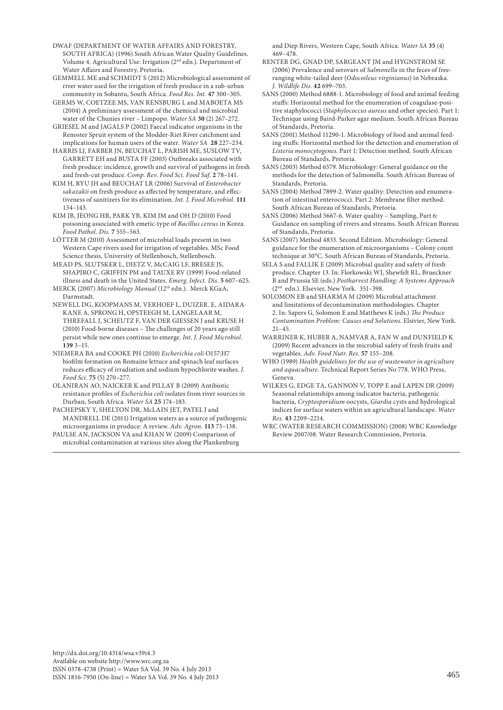DWAF (DEPARTMENT OF WATER AFFAIRS AND FORESTRY, SOUTH AFRICA) (1996) South African Water Quality Guidelines. Volume 4. Agricultural Use: Irrigation (2nd edn.). Department of Water Affairs and Forestry, Pretoria.

GEMMELL ME and SCHMIDT S (2012) Microbiological assessment of river water used for the irrigation of fresh produce in a sub-urban community in Sobantu, South Africa. *Food Res. Int.* **47** 300–305.

GERMS W, COETZEE MS, VAN RENSBURG L and MABOETA MS (2004) A preliminary assessment of the chemical and microbial water of the Chunies river – Limpopo. *Water SA* **30** (2) 267–272.

GRIESEL M and JAGALS P (2002) Faecal indicator organisms in the Renoster Spruit system of the Modder-Riet River catchment and implications for human users of the water. *Water SA* **28** 227–234.

HARRIS LJ, FARBER JN, BEUCHAT L, PARISH ME, SUSLOW TV, GARRETT EH and BUSTA FF (2003) Outbreaks associated with fresh produce: incidence, growth and survival of pathogens in fresh and fresh-cut produce. *Comp. Rev. Food Sci. Food Saf.* **2** 78–141.

KIM H, RYU JH and BEUCHAT LR (2006) Survival of *Enterobacter sakazakii* on fresh produce as affected by temperature, and effectiveness of sanitizers for its elimination. *Int. J. Food Microbiol.* **111** 134–143.

KIM JB, JEONG HR, PARK YB, KIM JM and OH D (2010) Food poisoning associated with emetic-type of *Bacillus cereus* in Korea. *Food Pathol. Dis.* **7** 555–563.

LÖTTER M (2010) Assessment of microbial loads present in two Western Cape rivers used for irrigation of vegetables. MSc Food Science thesis, University of Stellenbosch, Stellenbosch.

MEAD PS, SLUTSKER L, DIETZ V, McCAIG LF, BRESEE JS, SHAPIRO C, GRIFFIN PM and TAUXE RV (1999) Food-related illness and death in the United States. *Emerg. Infect. Dis.* **5** 607–625.

MERCK (2007) *Microbiology Manual* (12th edn.). Merck KGaA, Darmstadt.

NEWELL DG, KOOPMANS M, VERHOEF L, DUIZER. E, AIDARA-KANE A, SPRONG H, OPSTEEGH M, LANGELAAR M, THREFALL J, SCHEUTZ F, VAN DER GIESSEN J and KRUSE H (2010) Food-borne diseases – The challenges of 20 years ago still persist while new ones continue to emerge. *Int. J. Food Microbiol.* **139** 3–15.

NIEMERA BA and COOKE PH (2010) *Escherichia coli* O157:H7 biofilm formation on Romaine lettuce and spinach leaf surfaces reduces efficacy of irradiation and sodium hypochlorite washes. *J. Food Sci.* **75** (5) 270–277.

OLANIRAN AO, NAICKER K and PILLAY B (2009) Antibiotic resistance profiles of *Escherichia coli* isolates from river sources in Durban, South Africa. *Water SA* **25** 174–183.

PACHEPSKY Y, SHELTON DR, McLAIN JET, PATEL J and MANDRELL DE (2011) Irrigation waters as a source of pathogenic microorganisms in produce: A review. *Adv. Agron.* **113** 73–138.

PAULSE AN, JACKSON VA and KHAN W (2009) Comparison of microbial contamination at various sites along the Plankenburg and Diep Rivers, Western Cape, South Africa. *Water SA* **35** (4) 469–478.

RENTER DG, GNAD DP, SARGEANT JM and HYGNSTROM SE (2006) Prevalence and serovars of *Salmonella* in the feces of freeranging white-tailed deer (*Odocoileus virginianus*) in Nebraska. *J. Wildlife Dis.* **42** 699–703.

SANS (2000) Method 6888-1. Microbiology of food and animal feeding stuffs: Horizontal method for the enumeration of coagulase-positive staphylococci (*Staphylococcus aureus* and other species). Part 1: Technique using Baird-Parker agar medium. South African Bureau of Standards, Pretoria.

SANS (2001) Method 11290-1. Microbiology of food and animal feeding stuffs: Horizontal method for the detection and enumeration of *Listeria monocytogenes*. Part 1: Detection method. South African Bureau of Standards, Pretoria.

SANS (2003) Method 6579. Microbiology: General guidance on the methods for the detection of Salmonella. South African Bureau of Standards, Pretoria.

SANS (2004) Method 7899-2. Water quality: Detection and enumeration of intestinal enterococci. Part 2: Membrane filter method. South African Bureau of Standards, Pretoria.

SANS (2006) Method 5667-6. Water quality – Sampling, Part 6: Guidance on sampling of rivers and streams. South African Bureau of Standards, Pretoria.

SANS (2007) Method 4833. Second Edition. Microbiology: General guidance for the enumeration of microorganisms – Colony count technique at 30°C. South African Bureau of Standards, Pretoria.

SELA S and FALLIK E (2009) Microbial quality and safety of fresh produce. Chapter 13. In: Florkowski WJ, Shewfelt RL, Brueckner B and Prussia SE (eds.) *Postharvest Handling: A Systems Approach* (2nd edn.)*.* Elsevier, New York. 351–398.

SOLOMON EB and SHARMA M (2009) Microbial attachment and limitations of decontamination methodologies. Chapter 2. In: Sapers G, Solomon E and Matthews K (eds.) *The Produce Contamination Problem: Causes and Solutions*. Elsivier, New York. 21–45.

WARRINER K, HUBER A, NAMVAR A, FAN W and DUNFIELD K (2009) Recent advances in the microbial safety of fresh fruits and vegetables. *Adv. Food Nutr. Res.* **57** 155–208.

WHO (1989) *Health guidelines for the use of wastewater in agriculture and aquaculture.* Technical Report Series No 778. WHO Press, Geneva.

WILKES G, EDGE TA, GANNON V, TOPP E and LAPEN DR (2009) Seasonal relationships among indicator bacteria, pathogenic bacteria, *Cryptosporidium* oocysts, *Giardia* cysts and hydrological indices for surface waters within an agricultural landscape. *Water Res.* **43** 2209–2214.

WRC (WATER RESEARCH COMMISSION) (2008) WRC Knowledge Review 2007/08. Water Research Commission, Pretoria.